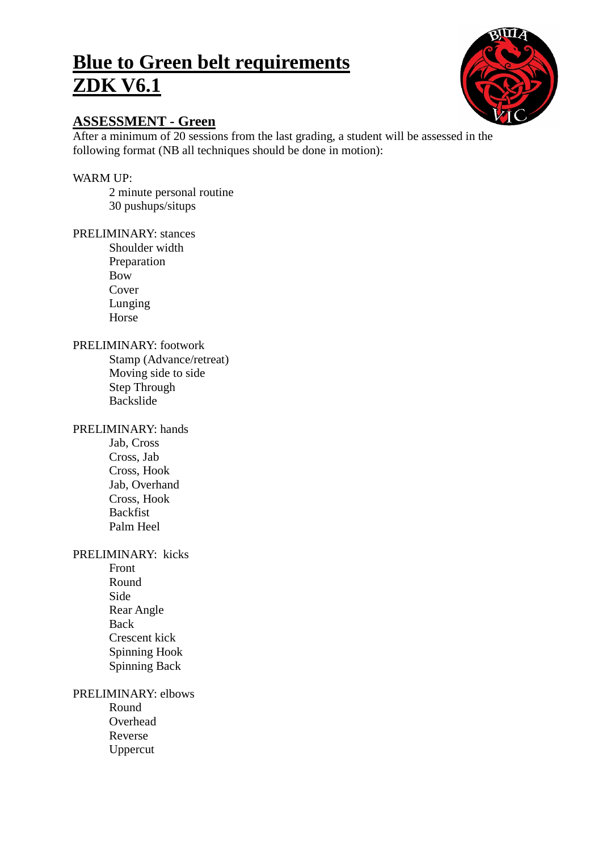# **Blue to Green belt requirements ZDK V6.1**



# **ASSESSMENT - Green**

After a minimum of 20 sessions from the last grading, a student will be assessed in the following format (NB all techniques should be done in motion):

# WARM UP:

2 minute personal routine 30 pushups/situps

## PRELIMINARY: stances

Shoulder width Preparation Bow Cover Lunging Horse

## PRELIMINARY: footwork

Stamp (Advance/retreat) Moving side to side Step Through Backslide

## PRELIMINARY: hands

Jab, Cross Cross, Jab Cross, Hook Jab, Overhand Cross, Hook Backfist Palm Heel

## PRELIMINARY: kicks

Front Round Side Rear Angle Back Crescent kick Spinning Hook Spinning Back

# PRELIMINARY: elbows

Round Overhead Reverse Uppercut